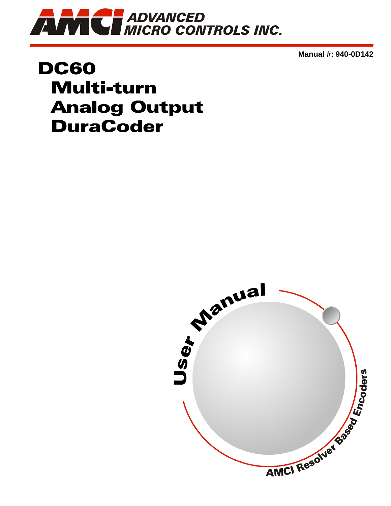

**Manual #: 940-0D142**

## **DC60 Multi-turn Analog Output DuraCoder**

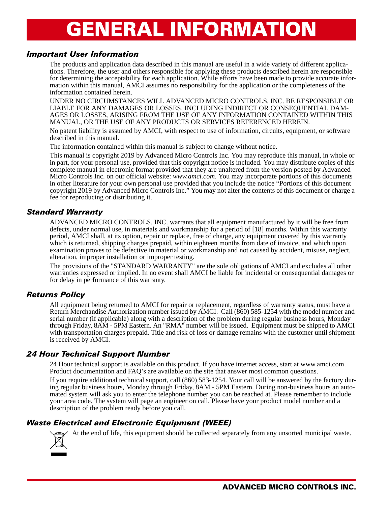# GENERAL INFORMATION

#### <span id="page-1-1"></span><span id="page-1-0"></span>*Important User Information*

The products and application data described in this manual are useful in a wide variety of different applications. Therefore, the user and others responsible for applying these products described herein are responsible for determining the acceptability for each application. While efforts have been made to provide accurate information within this manual, AMCI assumes no responsibility for the application or the completeness of the information contained herein.

UNDER NO CIRCUMSTANCES WILL ADVANCED MICRO CONTROLS, INC. BE RESPONSIBLE OR AGES OR LOSSES, ARISING FROM THE USE OF ANY INFORMATION CONTAINED WITHIN THIS MANUAL, OR THE USE OF ANY PRODUCTS OR SERVICES REFERENCED HEREIN.

No patent liability is assumed by AMCI, with respect to use of information, circuits, equipment, or software described in this manual.

The information contained within this manual is subject to change without notice.

This manual is copyright 2019 by Advanced Micro Controls Inc. You may reproduce this manual, in whole or in part, for your personal use, provided that this copyright notice is included. You may distribute copies of this complete manual in electronic format provided that they are unaltered from the version posted by Advanced Micro Controls Inc. on our official website: *www.amci.com*. You may incorporate portions of this documents in other literature for your own personal use provided that you include the notice "Portions of this document copyright 2019 by Advanced Micro Controls Inc." You may not alter the contents of this document or charge a fee for reproducing or distributing it.

#### <span id="page-1-2"></span>*Standard Warranty*

ADVANCED MICRO CONTROLS, INC. warrants that all equipment manufactured by it will be free from defects, under normal use, in materials and workmanship for a period of [18] months. Within this warranty period, AMCI shall, at its option, repair or replace, free of charge, any equipment covered by this warranty which is returned, shipping charges prepaid, within eighteen months from date of invoice, and which upon examination proves to be defective in material or workmanship and not caused by accident, misuse, neglect, alteration, improper installation or improper testing.

The provisions of the "STANDARD WARRANTY" are the sole obligations of AMCI and excludes all other warranties expressed or implied. In no event shall AMCI be liable for incidental or consequential damages or for delay in performance of this warranty.

#### <span id="page-1-3"></span>*Returns Policy*

All equipment being returned to AMCI for repair or replacement, regardless of warranty status, must have a Return Merchandise Authorization number issued by AMCI. Call (860) 585-1254 with the model number and serial number (if applicable) along with a description of the problem during regular business hours, Monday through Friday, 8AM - 5PM Eastern. An "RMA" number will be issued. Equipment must be shipped to AMCI with transportation charges prepaid. Title and risk of loss or damage remains with the customer until shipment is received by AMCI.

#### <span id="page-1-4"></span>*24 Hour Technical Support Number*

24 Hour technical support is available on this product. If you have internet access, start at www.amci.com. Product documentation and FAQ's are available on the site that answer most common questions.

If you require additional technical support, call (860) 583-1254. Your call will be answered by the factory during regular business hours, Monday through Friday, 8AM - 5PM Eastern. During non-business hours an automated system will ask you to enter the telephone number you can be reached at. Please remember to include your area code. The system will page an engineer on call. Please have your product model number and a description of the problem ready before you call.

#### <span id="page-1-5"></span>*Waste Electrical and Electronic Equipment (WEEE)*



At the end of life, this equipment should be collected separately from any unsorted municipal waste.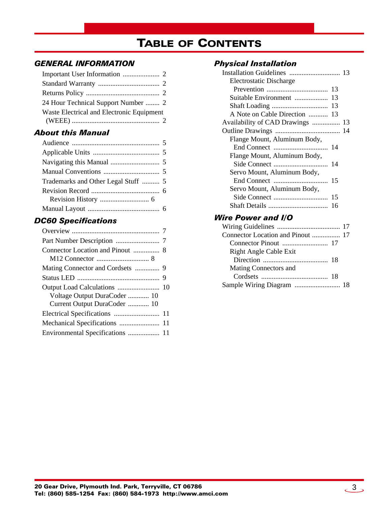## TABLE OF CONTENTS

#### *[GENERAL INFORMATION](#page-1-0)*

| 24 Hour Technical Support Number  2       |
|-------------------------------------------|
| Waste Electrical and Electronic Equipment |
|                                           |

#### *[About this Manual](#page-4-0)*

| Trademarks and Other Legal Stuff  5 |  |
|-------------------------------------|--|
|                                     |  |
|                                     |  |
|                                     |  |
|                                     |  |

#### *[DC60 Specifications](#page-6-0)*

| Voltage Output DuraCoder  10     |  |
|----------------------------------|--|
| Current Output DuraCoder  10     |  |
|                                  |  |
|                                  |  |
| Environmental Specifications  11 |  |
|                                  |  |

#### *[Physical Installation](#page-12-0)*

| Electrostatic Discharge          |    |  |
|----------------------------------|----|--|
|                                  |    |  |
| Suitable Environment  13         |    |  |
|                                  |    |  |
| A Note on Cable Direction  13    |    |  |
| Availability of CAD Drawings  13 |    |  |
|                                  |    |  |
| Flange Mount, Aluminum Body,     |    |  |
|                                  |    |  |
| Flange Mount, Aluminum Body,     |    |  |
|                                  |    |  |
| Servo Mount, Aluminum Body,      |    |  |
|                                  | 15 |  |
| Servo Mount, Aluminum Body,      |    |  |
|                                  | 15 |  |
|                                  |    |  |

#### *[Wire Power and I/O](#page-16-0)*

| Connector Location and Pinout  17 |  |
|-----------------------------------|--|
|                                   |  |
| <b>Right Angle Cable Exit</b>     |  |
|                                   |  |
| Mating Connectors and             |  |
|                                   |  |
| Sample Wiring Diagram  18         |  |
|                                   |  |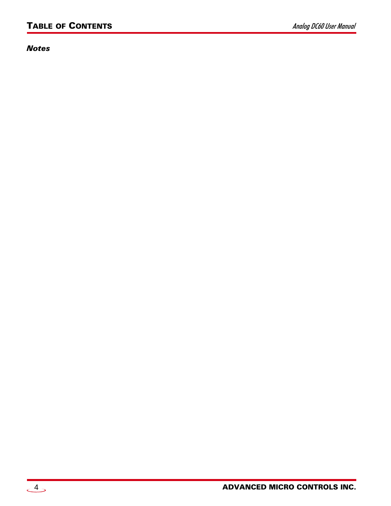*Notes*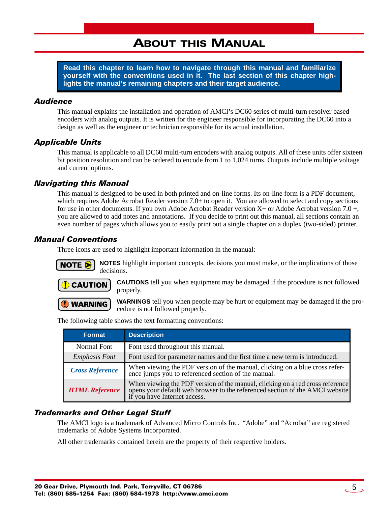## ABOUT THIS MANUAL

<span id="page-4-0"></span>**Read this chapter to learn how to navigate through this manual and familiarize yourself with the conventions used in it. The last section of this chapter highlights the manual's remaining chapters and their target audience.**

#### <span id="page-4-1"></span>*Audience*

This manual explains the installation and operation of AMCI's DC60 series of multi-turn resolver based encoders with analog outputs. It is written for the engineer responsible for incorporating the DC60 into a design as well as the engineer or technician responsible for its actual installation.

#### <span id="page-4-2"></span>*Applicable Units*

This manual is applicable to all DC60 multi-turn encoders with analog outputs. All of these units offer sixteen bit position resolution and can be ordered to encode from 1 to 1,024 turns. Outputs include multiple voltage and current options.

#### <span id="page-4-3"></span>*Navigating this Manual*

This manual is designed to be used in both printed and on-line forms. Its on-line form is a PDF document, which requires Adobe Acrobat Reader version 7.0+ to open it. You are allowed to select and copy sections for use in other documents. If you own Adobe Acrobat Reader version  $X<sub>+</sub>$  or Adobe Acrobat version 7.0 +, you are allowed to add notes and annotations. If you decide to print out this manual, all sections contain an even number of pages which allows you to easily print out a single chapter on a duplex (two-sided) printer.

#### <span id="page-4-4"></span>*Manual Conventions*

Three icons are used to highlight important information in the manual:



**NOTES** highlight important concepts, decisions you must make, or the implications of those decisions.



**CAUTIONS** tell you when equipment may be damaged if the procedure is not followed properly.

**WARNING** 

**WARNINGS** tell you when people may be hurt or equipment may be damaged if the procedure is not followed properly.

The following table shows the text formatting conventions:

| Format                 | <b>Description</b>                                                                                                                                                                            |
|------------------------|-----------------------------------------------------------------------------------------------------------------------------------------------------------------------------------------------|
| Normal Font            | Font used throughout this manual.                                                                                                                                                             |
| <b>Emphasis Font</b>   | Font used for parameter names and the first time a new term is introduced.                                                                                                                    |
| <b>Cross Reference</b> | When viewing the PDF version of the manual, clicking on a blue cross reference jumps you to referenced section of the manual.                                                                 |
| <b>HTML Reference</b>  | When viewing the PDF version of the manual, clicking on a red cross reference<br>opens your default web browser to the referenced section of the AMCI website<br>if you have Internet access. |

#### <span id="page-4-5"></span>*Trademarks and Other Legal Stuff*

The AMCI logo is a trademark of Advanced Micro Controls Inc. "Adobe" and "Acrobat" are registered trademarks of Adobe Systems Incorporated.

All other trademarks contained herein are the property of their respective holders.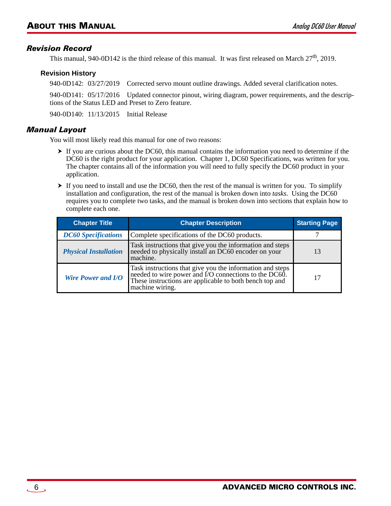#### <span id="page-5-0"></span>*Revision Record*

This manual, 940-0D142 is the third release of this manual. It was first released on March 27<sup>th</sup>, 2019.

#### <span id="page-5-1"></span>**Revision History**

940-0D142: 03/27/2019 Corrected servo mount outline drawings. Added several clarification notes.

940-0D141: 05/17/2016 Updated connector pinout, wiring diagram, power requirements, and the descriptions of the Status LED and Preset to Zero feature.

940-0D140: 11/13/2015 Initial Release

#### <span id="page-5-2"></span>*Manual Layout*

You will most likely read this manual for one of two reasons:

- If you are curious about the DC60, this manual contains the information you need to determine if the DC60 is the right product for your application. Chapter 1, DC60 Specifications, was written for you. The chapter contains all of the information you will need to fully specify the DC60 product in your application.
- $\triangleright$  If you need to install and use the DC60, then the rest of the manual is written for you. To simplify installation and configuration, the rest of the manual is broken down into *tasks*. Using the DC60 requires you to complete two tasks, and the manual is broken down into sections that explain how to complete each one.

| <b>Chapter Title</b>         | <b>Chapter Description</b>                                                                                                                                                                       | <b>Starting Page</b> |
|------------------------------|--------------------------------------------------------------------------------------------------------------------------------------------------------------------------------------------------|----------------------|
| <b>DC60</b> Specifications   | Complete specifications of the DC60 products.                                                                                                                                                    |                      |
| <b>Physical Installation</b> | Task instructions that give you the information and steps<br>needed to physically install an DC60 encoder on your<br>machine.                                                                    | 13                   |
| <b>Wire Power and I/O</b>    | Task instructions that give you the information and steps<br>needed to wire power and I/O connections to the DC60.<br>These instructions are applicable to both bench top and<br>machine wiring. | 17                   |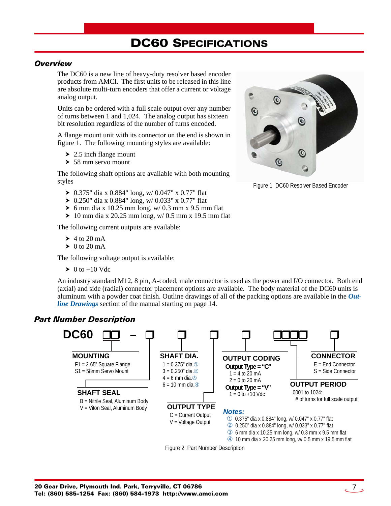## DC60 SPECIFICATIONS

#### <span id="page-6-1"></span><span id="page-6-0"></span>*Overview*

The DC60 is a new line of heavy-duty resolver based encoder products from AMCI. The first units to be released in this line are absolute multi-turn encoders that offer a current or voltage analog output.

Units can be ordered with a full scale output over any number of turns between 1 and 1,024. The analog output has sixteen bit resolution regardless of the number of turns encoded.

A flange mount unit with its connector on the end is shown in figure [1](#page-6-3). The following mounting styles are available:

- $\geq 2.5$  inch flange mount
- $\geq 58$  mm servo mount

The following shaft options are available with both mounting styles

- $\triangleright$  0.375" dia x 0.884" long, w/ 0.047" x 0.77" flat
- $\geq 0.250$ " dia x 0.884" long, w/ 0.033" x 0.77" flat
- $\triangleright$  6 mm dia x 10.25 mm long, w/ 0.3 mm x 9.5 mm flat
- $\geq 10$  mm dia x 20.25 mm long, w/ 0.5 mm x 19.5 mm flat

The following current outputs are available:

- $\blacktriangleright$  4 to 20 mA
- $\triangleright$  0 to 20 mA

The following voltage output is available:

 $\triangleright$  0 to +10 Vdc

An industry standard M12, 8 pin, A-coded, male connector is used as the power and I/O connector. Both end (axial) and side (radial) connector placement options are available. The body material of the DC60 units is aluminum with a powder coat finish. Outline drawings of all of the packing options are available in the *[Out](#page-13-0)[line Drawings](#page-13-0)* section of the manual starting on [page](#page-13-0) 14.

#### <span id="page-6-2"></span>*Part Number Description*



Figure 2 Part Number Description

<span id="page-6-3"></span>

Figure 1 DC60 Resolver Based Encoder

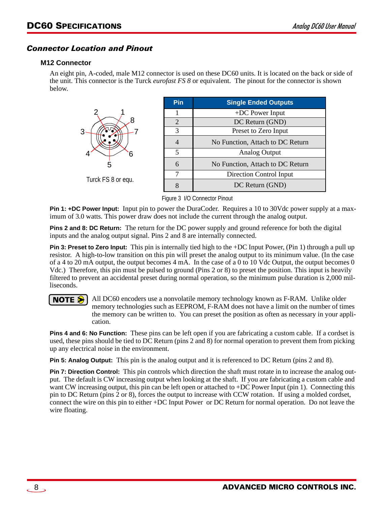#### <span id="page-7-1"></span><span id="page-7-0"></span>*Connector Location and Pinout*

#### **M12 Connector**

An eight pin, A-coded, male M12 connector is used on these DC60 units. It is located on the back or side of the unit. This connector is the Turck *eurofast FS 8* or equivalent. The pinout for the connector is shown below.



Figure 3 I/O Connector Pinout

**Pin 1: +DC Power Input:** Input pin to power the DuraCoder. Requires a 10 to 30Vdc power supply at a maximum of 3.0 watts. This power draw does not include the current through the analog output.

**Pins 2 and 8: DC Return:** The return for the DC power supply and ground reference for both the digital inputs and the analog output signal. Pins 2 and 8 are internally connected.

**Pin 3: Preset to Zero Input:** This pin is internally tied high to the +DC Input Power, (Pin 1) through a pull up resistor. A high-to-low transition on this pin will preset the analog output to its minimum value. (In the case of a 4 to 20 mA output, the output becomes 4 mA. In the case of a 0 to 10 Vdc Output, the output becomes 0 Vdc.) Therefore, this pin must be pulsed to ground (Pins 2 or 8) to preset the position. This input is heavily filtered to prevent an accidental preset during normal operation, so the minimum pulse duration is 2,000 milliseconds.

All DC60 encoders use a nonvolatile memory technology known as F-RAM. Unlike older NOTE S memory technologies such as EEPROM, F-RAM does not have a limit on the number of times the memory can be written to. You can preset the position as often as necessary in your application.

**Pins 4 and 6: No Function:** These pins can be left open if you are fabricating a custom cable. If a cordset is used, these pins should be tied to DC Return (pins 2 and 8) for normal operation to prevent them from picking up any electrical noise in the environment.

**Pin 5: Analog Output:** This pin is the analog output and it is referenced to DC Return (pins 2 and 8).

**Pin 7: Direction Control:** This pin controls which direction the shaft must rotate in to increase the analog output. The default is CW increasing output when looking at the shaft. If you are fabricating a custom cable and want CW increasing output, this pin can be left open or attached to +DC Power Input (pin 1). Connecting this pin to DC Return (pins 2 or 8), forces the output to increase with CCW rotation. If using a molded cordset, connect the wire on this pin to either +DC Input Power or DC Return for normal operation. Do not leave the wire floating.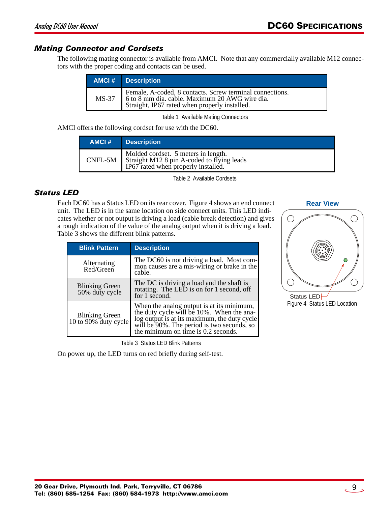#### <span id="page-8-0"></span>*Mating Connector and Cordsets*

The following mating connector is available from AMCI. Note that any commercially available M12 connectors with the proper coding and contacts can be used.

| <b>AMCI#</b> Description                                                                                                                                          |
|-------------------------------------------------------------------------------------------------------------------------------------------------------------------|
| Female, A-coded, 8 contacts. Screw terminal connections.<br>MS-37 6 to 8 mm dia. cable. Maximum 20 AWG wire dia.<br>Straight, IP67 rated when properly installed. |

Table 1 Available Mating Connectors

AMCI offers the following cordset for use with the DC60.

| AMCI# | <b>Description</b>                                                                                                                 |
|-------|------------------------------------------------------------------------------------------------------------------------------------|
|       | Molded cordset. 5 meters in length.<br>$CNFL-5M$ Straight M12 8 pin A-coded to flying leads<br>IP67 rated when properly installed. |

Table 2 Available Cordsets

#### <span id="page-8-1"></span>*Status LED*

Each DC60 has a Status LED on its rear cover. Figure [4](#page-8-2) shows an end connect unit. The LED is in the same location on side connect units. This LED indicates whether or not output is driving a load (cable break detection) and gives a rough indication of the value of the analog output when it is driving a load. Table [3](#page-8-3) shows the different blink patterns.

| <b>Blink Pattern</b>                    | <b>Description</b>                                                                                                                                                                                                          |
|-----------------------------------------|-----------------------------------------------------------------------------------------------------------------------------------------------------------------------------------------------------------------------------|
| Alternating<br>Red/Green                | The DC60 is not driving a load. Most com-<br>mon causes are a mis-wiring or brake in the<br>cable.                                                                                                                          |
| <b>Blinking Green</b><br>50% duty cycle | The DC is driving a load and the shaft is<br>rotating. The LED is on for 1 second, off<br>for 1 second.                                                                                                                     |
| Blinking Green<br>10 to 90% duty cycle  | When the analog output is at its minimum,<br>the duty cycle will be 10%. When the ana-<br>log output is at its maximum, the duty cycle<br>will be 90%. The period is two seconds, so<br>the minimum on time is 0.2 seconds. |

Table 3 Status LED Blink Patterns

<span id="page-8-3"></span>On power up, the LED turns on red briefly during self-test.

## **Rear View**  $\bigcirc$  $(\ )$  $\overline{O}$  $( )$

<span id="page-8-2"></span>Status LED Figure 4 Status LED Location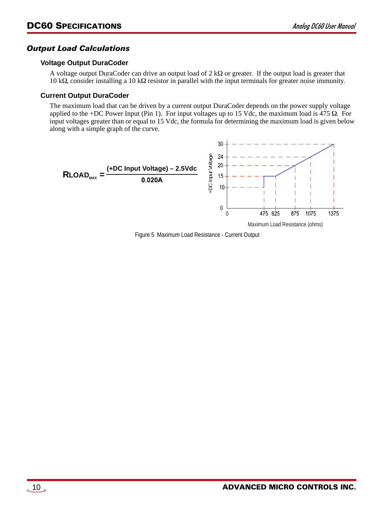#### <span id="page-9-0"></span>*Output Load Calculations*

#### <span id="page-9-1"></span>**Voltage Output DuraCoder**

A voltage output DuraCoder can drive an output load of  $2 \text{ k}\Omega$  or greater. If the output load is greater that 10 k $\Omega$ , consider installing a 10 k $\Omega$  resistor in parallel with the input terminals for greater noise immunity.

#### <span id="page-9-2"></span>**Current Output DuraCoder**

The maximum load that can be driven by a current output DuraCoder depends on the power supply voltage applied to the +DC Power Input (Pin 1). For input voltages up to 15 Vdc, the maximum load is 475  $\Omega$ . For input voltages greater than or equal to 15 Vdc, the formula for determining the maximum load is given below along with a simple graph of the curve.

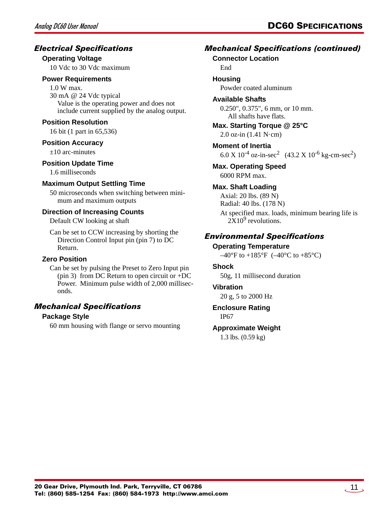#### <span id="page-10-0"></span>*Electrical Specifications*

#### **Operating Voltage**

10 Vdc to 30 Vdc maximum

#### **Power Requirements**

1.0 W max. 30 mA @ 24 Vdc typical Value is the operating power and does not include current supplied by the analog output.

#### **Position Resolution**

16 bit (1 part in 65,536)

#### **Position Accuracy**

 $\pm 10$  arc-minutes

#### **Position Update Time**

1.6 milliseconds

#### **Maximum Output Settling Time**

50 microseconds when switching between minimum and maximum outputs

#### **Direction of Increasing Counts**

Default CW looking at shaft

Can be set to CCW increasing by shorting the Direction Control Input pin (pin 7) to DC Return.

#### **Zero Position**

Can be set by pulsing the Preset to Zero Input pin (pin 3) from DC Return to open circuit or +DC Power. Minimum pulse width of 2,000 milliseconds.

#### <span id="page-10-1"></span>*Mechanical Specifications*

#### **Package Style**

60 mm housing with flange or servo mounting

#### *Mechanical Specifications (continued)*

#### **Connector Location**

End

#### **Housing**

Powder coated aluminum

#### **Available Shafts**

0.250", 0.375", 6 mm, or 10 mm. All shafts have flats.

#### **Max. Starting Torque @ 25°C**

2.0 oz-in (1.41 N·cm)

**Moment of Inertia** 6.0 X  $10^{-4}$  oz-in-sec<sup>2</sup> (43.2 X  $10^{-6}$  kg-cm-sec<sup>2</sup>)

## **Max. Operating Speed**

6000 RPM max.

#### **Max. Shaft Loading**

Axial: 20 lbs. (89 N) Radial: 40 lbs. (178 N)

At specified max. loads, minimum bearing life is  $2X10<sup>9</sup>$  revolutions.

#### <span id="page-10-2"></span>*Environmental Specifications*

#### **Operating Temperature**

 $-40^{\circ}$ F to  $+185^{\circ}$ F ( $-40^{\circ}$ C to  $+85^{\circ}$ C)

#### **Shock**

50g, 11 millisecond duration

#### **Vibration**

20 g, 5 to 2000 Hz

#### **Enclosure Rating**

IP67

#### **Approximate Weight**

1.3 lbs. (0.59 kg)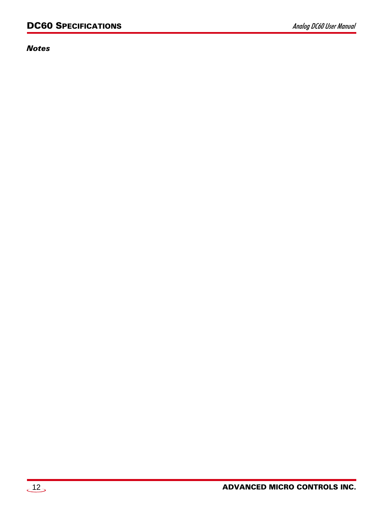*Notes*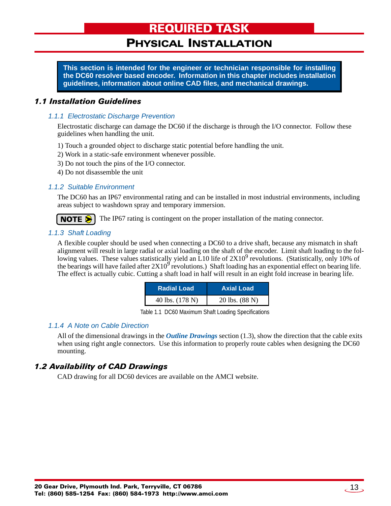### PHYSICAL INSTALLATION

<span id="page-12-0"></span>**This section is intended for the engineer or technician responsible for installing the DC60 resolver based encoder. Information in this chapter includes installation guidelines, information about online CAD files, and mechanical drawings.**

#### <span id="page-12-2"></span><span id="page-12-1"></span>*1.1 Installation Guidelines*

#### *1.1.1 Electrostatic Discharge Prevention*

Electrostatic discharge can damage the DC60 if the discharge is through the I/O connector. Follow these guidelines when handling the unit.

- 1) Touch a grounded object to discharge static potential before handling the unit.
- 2) Work in a static-safe environment whenever possible.
- 3) Do not touch the pins of the I/O connector.
- 4) Do not disassemble the unit

#### <span id="page-12-3"></span>*1.1.2 Suitable Environment*

The DC60 has an IP67 environmental rating and can be installed in most industrial environments, including areas subject to washdown spray and temporary immersion.

The IP67 rating is contingent on the proper installation of the mating connector. NOTE  $\bigcirc$   $\vdash$ 

#### <span id="page-12-4"></span>*1.1.3 Shaft Loading*

A flexible coupler should be used when connecting a DC60 to a drive shaft, because any mismatch in shaft alignment will result in large radial or axial loading on the shaft of the encoder. Limit shaft loading to the following values. These values statistically yield an L10 life of  $2X10^9$  revolutions. (Statistically, only 10% of the bearings will have failed after  $2X10^9$  revolutions.) Shaft loading has an exponential effect on bearing life. The effect is actually cubic. Cutting a shaft load in half will result in an eight fold increase in bearing life.

| <b>Radial Load</b> | <b>Axial Load</b> |
|--------------------|-------------------|
| 40 lbs. (178 N)    | 20 lbs. (88 N)    |

Table 1.1 DC60 Maximum Shaft Loading Specifications

#### <span id="page-12-5"></span>*1.1.4 A Note on Cable Direction*

All of the dimensional drawings in the *[Outline Drawings](#page-13-0)* section [\(1.3](#page-13-0)), show the direction that the cable exits when using right angle connectors. Use this information to properly route cables when designing the DC60 mounting.

#### <span id="page-12-6"></span>*1.2 Availability of CAD Drawings*

CAD drawing for all DC60 devices are available on the AMCI website.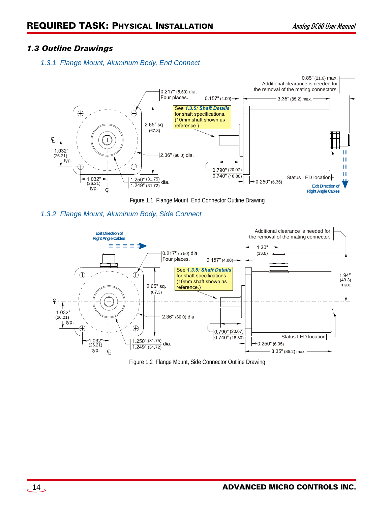#### <span id="page-13-1"></span><span id="page-13-0"></span>*1.3 Outline Drawings*

#### *1.3.1 Flange Mount, Aluminum Body, End Connect*



Figure 1.1 Flange Mount, End Connector Outline Drawing

<span id="page-13-2"></span>



Figure 1.2 Flange Mount, Side Connector Outline Drawing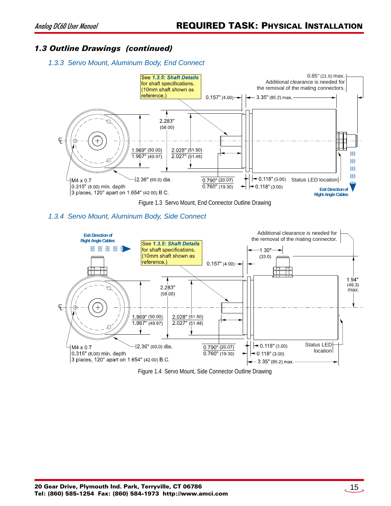#### <span id="page-14-0"></span>*1.3 Outline Drawings (continued)*

#### *1.3.3 Servo Mount, Aluminum Body, End Connect*



#### <span id="page-14-1"></span>*1.3.4 Servo Mount, Aluminum Body, Side Connect*



Figure 1.4 Servo Mount, Side Connector Outline Drawing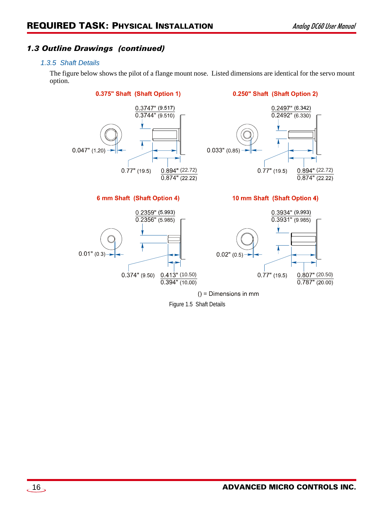#### <span id="page-15-0"></span>*1.3 Outline Drawings (continued)*

#### *1.3.5 Shaft Details*

The figure below shows the pilot of a flange mount nose. Listed dimensions are identical for the servo mount option.

0.375" Shaft (Shaft Option 1)



#### 6 mm Shaft (Shaft Option 4)

0.250" Shaft (Shaft Option 2)



#### 10 mm Shaft (Shaft Option 4)



Figure 1.5 Shaft Details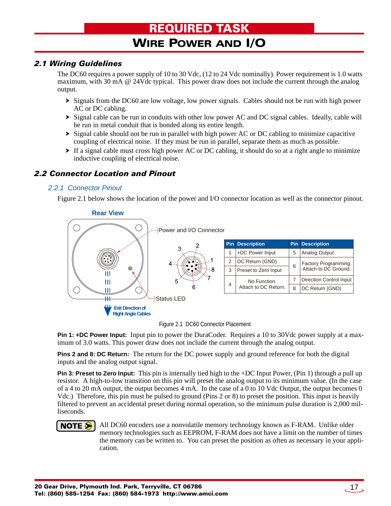## REQUIRED TASK

## WIRE POWER AND I/O

#### <span id="page-16-1"></span><span id="page-16-0"></span>*2.1 Wiring Guidelines*

The DC60 requires a power supply of 10 to 30 Vdc, (12 to 24 Vdc nominally). Power requirement is 1.0 watts maximum, with 30 mA @ 24Vdc typical. This power draw does not include the current through the analog output.

- $\triangleright$  Signals from the DC60 are low voltage, low power signals. Cables should not be run with high power AC or DC cabling.
- $\triangleright$  Signal cable can be run in conduits with other low power AC and DC signal cables. Ideally, cable will be run in metal conduit that is bonded along its entire length.
- $\triangleright$  Signal cable should not be run in parallel with high power AC or DC cabling to minimize capacitive coupling of electrical noise. If they must be run in parallel, separate them as much as possible.
- $\triangleright$  If a signal cable must cross high power AC or DC cabling, it should do so at a right angle to minimize inductive coupling of electrical noise.

#### <span id="page-16-2"></span>*2.2 Connector Location and Pinout*

#### <span id="page-16-3"></span>*2.2.1 Connector Pinout*

Figure [2.1](#page-16-4) below shows the location of the power and I/O connector location as well as the connector pinout.



Figure 2.1 DC60 Connector Placement

<span id="page-16-4"></span>**Pin 1: +DC Power Input:** Input pin to power the DuraCoder. Requires a 10 to 30Vdc power supply at a maximum of 3.0 watts. This power draw does not include the current through the analog output.

**Pins 2 and 8: DC Return:** The return for the DC power supply and ground reference for both the digital inputs and the analog output signal.

**Pin 3: Preset to Zero Input:** This pin is internally tied high to the +DC Input Power, (Pin 1) through a pull up resistor. A high-to-low transition on this pin will preset the analog output to its minimum value. (In the case of a 4 to 20 mA output, the output becomes 4 mA. In the case of a 0 to 10 Vdc Output, the output becomes 0 Vdc.) Therefore, this pin must be pulsed to ground (Pins 2 or 8) to preset the position. This input is heavily filtered to prevent an accidental preset during normal operation, so the minimum pulse duration is 2,000 milliseconds.

#### **NOTE**

All DC60 encoders use a nonvolatile memory technology known as F-RAM. Unlike older memory technologies such as EEPROM, F-RAM does not have a limit on the number of times the memory can be written to. You can preset the position as often as necessary in your application.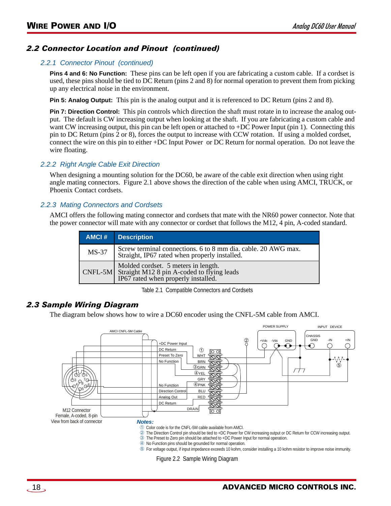#### *2.2 Connector Location and Pinout (continued)*

#### *2.2.1 Connector Pinout (continued)*

**Pins 4 and 6: No Function:** These pins can be left open if you are fabricating a custom cable. If a cordset is used, these pins should be tied to DC Return (pins 2 and 8) for normal operation to prevent them from picking up any electrical noise in the environment.

**Pin 5: Analog Output:** This pin is the analog output and it is referenced to DC Return (pins 2 and 8).

**Pin 7: Direction Control:** This pin controls which direction the shaft must rotate in to increase the analog output. The default is CW increasing output when looking at the shaft. If you are fabricating a custom cable and want CW increasing output, this pin can be left open or attached to +DC Power Input (pin 1). Connecting this pin to DC Return (pins 2 or 8), forces the output to increase with CCW rotation. If using a molded cordset, connect the wire on this pin to either +DC Input Power or DC Return for normal operation. Do not leave the wire floating.

#### <span id="page-17-0"></span>*2.2.2 Right Angle Cable Exit Direction*

When designing a mounting solution for the DC60, be aware of the cable exit direction when using right angle mating connectors. Figure [2.1](#page-16-4) above shows the direction of the cable when using AMCI, TRUCK, or Phoenix Contact cordsets.

#### <span id="page-17-1"></span>*2.2.3 Mating Connectors and Cordsets*

AMCI offers the following mating connector and cordsets that mate with the NR60 power connector. Note that the power connector will mate with any connector or cordset that follows the M12, 4 pin, A-coded standard.

| AMCI#   | <b>Description</b>                                                                                                               |
|---------|----------------------------------------------------------------------------------------------------------------------------------|
| $MS-37$ | Screw terminal connections. 6 to 8 mm dia. cable. 20 AWG max.<br>Straight, IP67 rated when properly installed.                   |
|         | Molded cordset. 5 meters in length.<br>CNFL-5M Straight M12 8 pin A-coded to flying leads<br>IP67 rated when properly installed. |

Table 2.1 Compatible Connectors and Cordsets

#### <span id="page-17-2"></span>*2.3 Sample Wiring Diagram*

The diagram below shows how to wire a DC60 encoder using the CNFL-5M cable from AMCI.



- No Function pins should be grounded for normal operation.
- For voltage output, if input impedance exceeds 10 kohm, consider installing a 10 kohm resistor to improve noise immunity.

Figure 2.2 Sample Wiring Diagram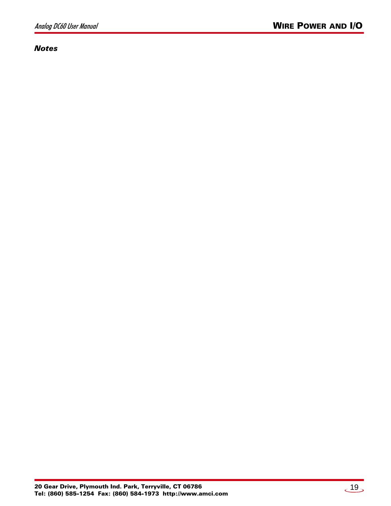#### *Notes*